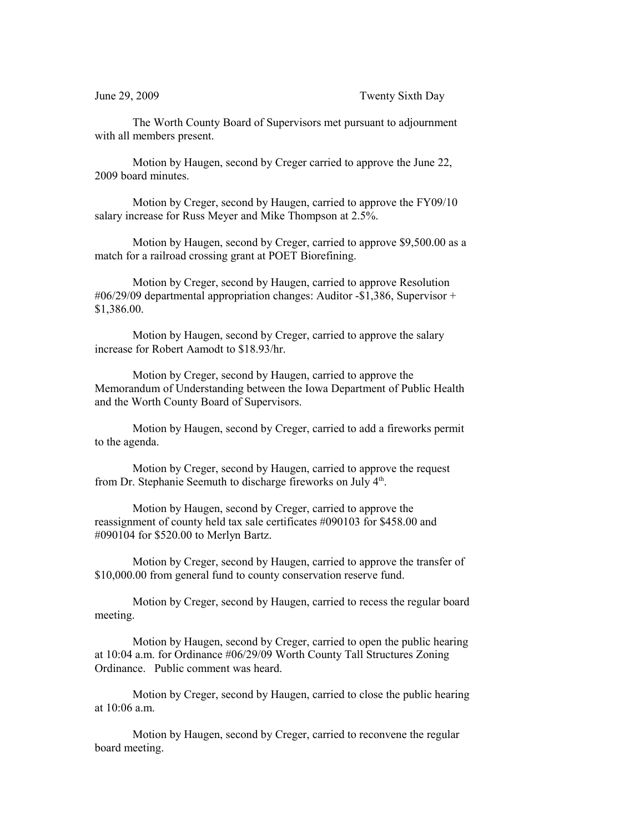The Worth County Board of Supervisors met pursuant to adjournment with all members present.

Motion by Haugen, second by Creger carried to approve the June 22, 2009 board minutes.

Motion by Creger, second by Haugen, carried to approve the FY09/10 salary increase for Russ Meyer and Mike Thompson at 2.5%.

Motion by Haugen, second by Creger, carried to approve \$9,500.00 as a match for a railroad crossing grant at POET Biorefining.

Motion by Creger, second by Haugen, carried to approve Resolution #06/29/09 departmental appropriation changes: Auditor -\$1,386, Supervisor + \$1,386.00.

Motion by Haugen, second by Creger, carried to approve the salary increase for Robert Aamodt to \$18.93/hr.

Motion by Creger, second by Haugen, carried to approve the Memorandum of Understanding between the Iowa Department of Public Health and the Worth County Board of Supervisors.

Motion by Haugen, second by Creger, carried to add a fireworks permit to the agenda.

Motion by Creger, second by Haugen, carried to approve the request from Dr. Stephanie Seemuth to discharge fireworks on July 4<sup>th</sup>.

Motion by Haugen, second by Creger, carried to approve the reassignment of county held tax sale certificates #090103 for \$458.00 and #090104 for \$520.00 to Merlyn Bartz.

Motion by Creger, second by Haugen, carried to approve the transfer of \$10,000.00 from general fund to county conservation reserve fund.

Motion by Creger, second by Haugen, carried to recess the regular board meeting.

Motion by Haugen, second by Creger, carried to open the public hearing at 10:04 a.m. for Ordinance #06/29/09 Worth County Tall Structures Zoning Ordinance. Public comment was heard.

Motion by Creger, second by Haugen, carried to close the public hearing at 10:06 a.m.

Motion by Haugen, second by Creger, carried to reconvene the regular board meeting.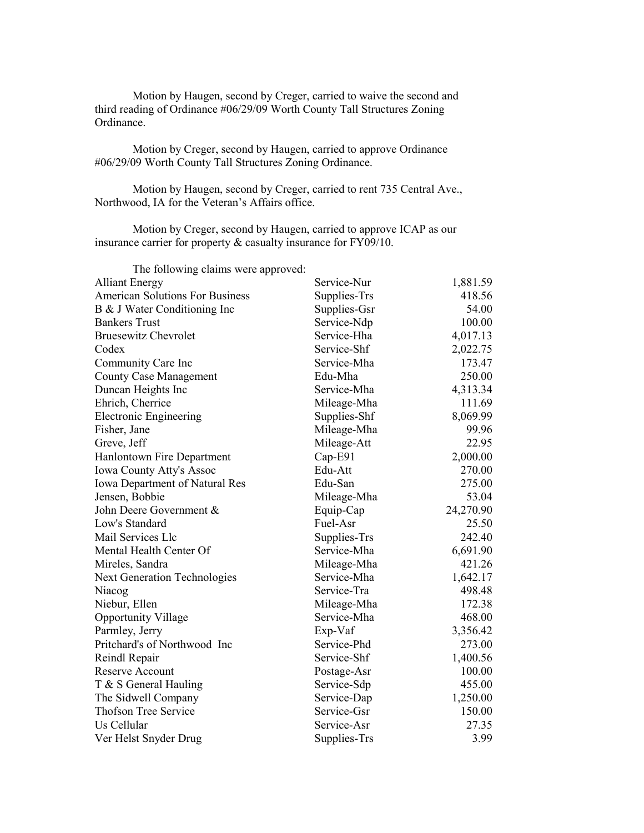Motion by Haugen, second by Creger, carried to waive the second and third reading of Ordinance #06/29/09 Worth County Tall Structures Zoning Ordinance.

Motion by Creger, second by Haugen, carried to approve Ordinance #06/29/09 Worth County Tall Structures Zoning Ordinance.

Motion by Haugen, second by Creger, carried to rent 735 Central Ave., Northwood, IA for the Veteran's Affairs office.

Motion by Creger, second by Haugen, carried to approve ICAP as our insurance carrier for property & casualty insurance for FY09/10.

| The following claims were approved:    |              |           |
|----------------------------------------|--------------|-----------|
| <b>Alliant Energy</b>                  | Service-Nur  | 1,881.59  |
| <b>American Solutions For Business</b> | Supplies-Trs | 418.56    |
| B & J Water Conditioning Inc           | Supplies-Gsr | 54.00     |
| <b>Bankers Trust</b>                   | Service-Ndp  | 100.00    |
| <b>Bruesewitz Chevrolet</b>            | Service-Hha  | 4,017.13  |
| Codex                                  | Service-Shf  | 2,022.75  |
| Community Care Inc                     | Service-Mha  | 173.47    |
| <b>County Case Management</b>          | Edu-Mha      | 250.00    |
| Duncan Heights Inc                     | Service-Mha  | 4,313.34  |
| Ehrich, Cherrice                       | Mileage-Mha  | 111.69    |
| <b>Electronic Engineering</b>          | Supplies-Shf | 8,069.99  |
| Fisher, Jane                           | Mileage-Mha  | 99.96     |
| Greve, Jeff                            | Mileage-Att  | 22.95     |
| Hanlontown Fire Department             | Cap-E91      | 2,000.00  |
| Iowa County Atty's Assoc               | Edu-Att      | 270.00    |
| Iowa Department of Natural Res         | Edu-San      | 275.00    |
| Jensen, Bobbie                         | Mileage-Mha  | 53.04     |
| John Deere Government &                | Equip-Cap    | 24,270.90 |
| Low's Standard                         | Fuel-Asr     | 25.50     |
| Mail Services Llc                      | Supplies-Trs | 242.40    |
| Mental Health Center Of                | Service-Mha  | 6,691.90  |
| Mireles, Sandra                        | Mileage-Mha  | 421.26    |
| <b>Next Generation Technologies</b>    | Service-Mha  | 1,642.17  |
| Niacog                                 | Service-Tra  | 498.48    |
| Niebur, Ellen                          | Mileage-Mha  | 172.38    |
| <b>Opportunity Village</b>             | Service-Mha  | 468.00    |
| Parmley, Jerry                         | Exp-Vaf      | 3,356.42  |
| Pritchard's of Northwood Inc           | Service-Phd  | 273.00    |
| Reindl Repair                          | Service-Shf  | 1,400.56  |
| <b>Reserve Account</b>                 | Postage-Asr  | 100.00    |
| T & S General Hauling                  | Service-Sdp  | 455.00    |
| The Sidwell Company                    | Service-Dap  | 1,250.00  |
| <b>Thofson Tree Service</b>            | Service-Gsr  | 150.00    |
| Us Cellular                            | Service-Asr  | 27.35     |
| Ver Helst Snyder Drug                  | Supplies-Trs | 3.99      |